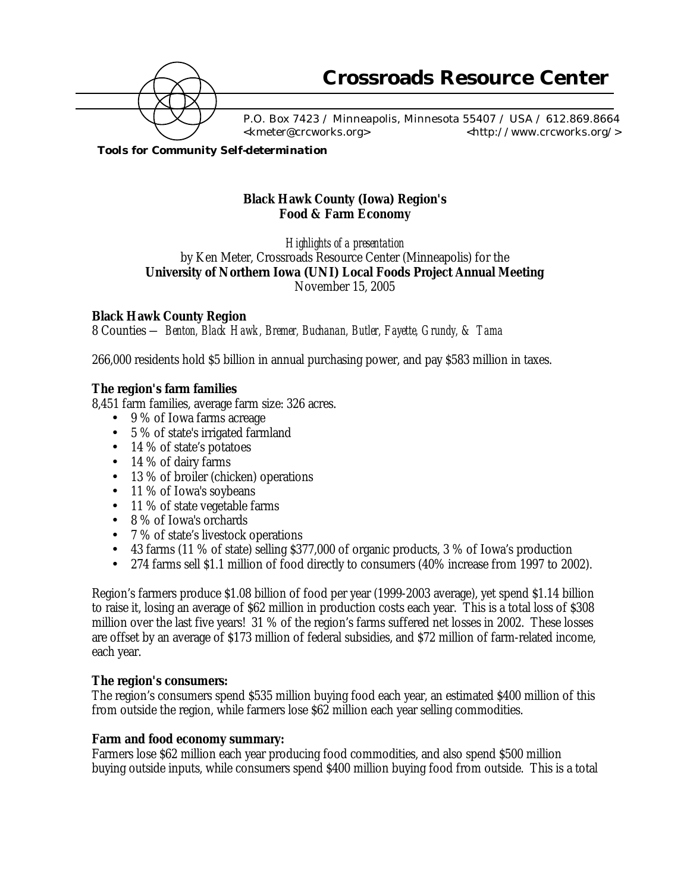

 P.O. Box 7423 / Minneapolis, Minnesota 55407 / USA / 612.869.8664 <kmeter@crcworks.org> <http://www.crcworks.org/>

*Tools for Community Self-determination*

# **Black Hawk County (Iowa) Region's Food & Farm Economy**

*Highlights of a presentation* by Ken Meter, Crossroads Resource Center (Minneapolis) for the **University of Northern Iowa (UNI) Local Foods Project Annual Meeting** November 15, 2005

### **Black Hawk County Region**

8 Counties *— Benton, Black Hawk, Bremer, Buchanan, Butler, Fayette, Grundy, & Tama*

266,000 residents hold \$5 billion in annual purchasing power, and pay \$583 million in taxes.

## **The region's farm families**

8,451 farm families, average farm size: 326 acres.

- 9 % of Iowa farms acreage
- 5 % of state's irrigated farmland
- 14 % of state's potatoes
- 14 % of dairy farms
- 13 % of broiler (chicken) operations
- 11 % of Iowa's soybeans
- 11 % of state vegetable farms
- 8 % of Iowa's orchards
- 7 % of state's livestock operations
- 43 farms (11 % of state) selling \$377,000 of organic products, 3 % of Iowa's production
- 274 farms sell \$1.1 million of food directly to consumers (40% increase from 1997 to 2002).

Region's farmers produce \$1.08 billion of food per year (1999-2003 average), yet spend \$1.14 billion to raise it, losing an average of \$62 million in production costs each year. This is a total loss of \$308 million over the last five years! 31 % of the region's farms suffered net losses in 2002. These losses are offset by an average of \$173 million of federal subsidies, and \$72 million of farm-related income, each year.

### **The region's consumers:**

The region's consumers spend \$535 million buying food each year, an estimated \$400 million of this from outside the region, while farmers lose \$62 million each year selling commodities.

### **Farm and food economy summary:**

Farmers lose \$62 million each year producing food commodities, and also spend \$500 million buying outside inputs, while consumers spend \$400 million buying food from outside. This is a total